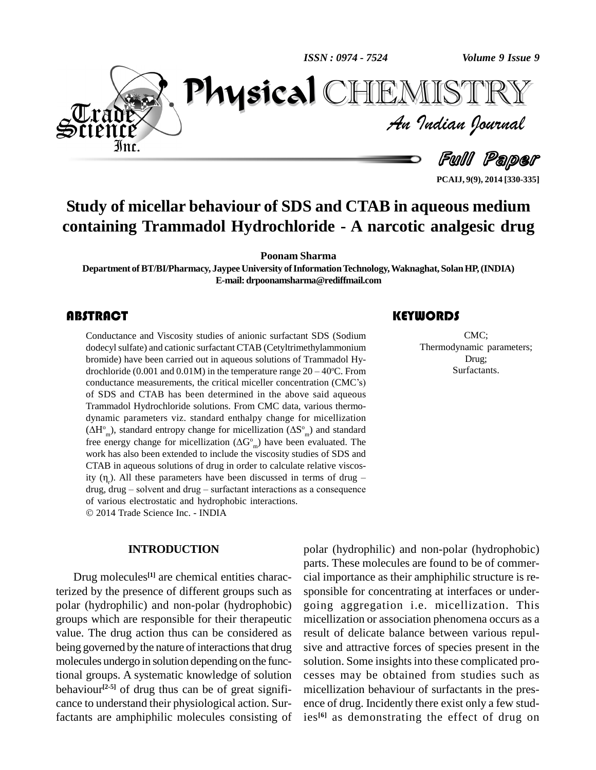$\mathbf{P}$ *ISSN : 0974 - 7524*



*Volume 9 Issue 9*<br>IISTRY<br>Indian Iournal CHEMISTRY

Full Paper

**PCAIJ, 9(9), 2014 [330-335]**

## **Study of micellar behaviour of SDS and CTAB in aqueous medium containing Trammadol Hydrochloride - A narcotic analgesic drug**

**Poonam Sharma**

**Department ofBT/BI/Pharmacy, Jaypee University ofInformationTechnology,Waknaghat, SolanHP,(INDIA) E-mail:[drpoonamsharma@rediffmail.com](mailto:drpoonamsharma@rediffmail.com)**

Conductance and Visco<br>dodecyl sulfate) and catio<br>bromide) have been cari Conductance and Viscosity studies of anionic surfactant SDS (Sodium dodecyl sulfate) and cationic surfactant CTAB (Cetyltrimethylammonium<br>bromide) have been carried out in aqueous solutions of Trammadol Hy-<br>drochloride (0.001 and 0.01M) in the temperature range  $20 - 40^{\circ}$ C. From bromide) have been carried out in aqueous solutions of Trammadol Hy <sup>o</sup>C. From bromide) have been carried out in aqueous solutions of Trammadol Hy-<br>drochloride (0.001 and 0.01M) in the temperature range  $20 - 40^{\circ}$ C. From<br>conductance measurements, the critical miceller concentration (CMC $\degree$ s) of SDS and CTAB has been determined in the above said aqueous Trammadol Hydrochloride solutions. From CMC data, various thermo-<br>dynamic parameters viz. standard enthalpy change for micellization  $(\Delta H^{\circ}_{m})$ , standard entropy change for micellization  $(\Delta S^{\circ}_{m})$  and standard dynamic parameters viz. standard enthalpy change for micellization  $^{\circ}$ <sub>m</sub>) and standard dynamic parameters viz. standard enthalpy change for micellization  $(\Delta H^{\circ}_{m})$ , standard entropy change for micellization  $(\Delta G^{\circ}_{m})$  and standard free energy change for micellization  $(\Delta G^{\circ}_{m})$  have been evaluated. The work has also been extended to include the viscosity studies of SDS and CTAB in aqueous solutions of drug in order to calculate relative viscoswork has also been extended to include the viscosity studies of SDS and CTAB in aqueous solutions of drug in order to calculate relative viscosity  $(\eta_r)$ . All these parameters have been discussed in terms of drug – CTAB in aqueous solutions of drug in order to calculate relative viscosity  $(\eta_r)$ . All these parameters have been discussed in terms of drug – drug, drug – solvent and drug – surfactant interactions as a consequence drug, drug – solvent and drug – surfactant interactions as a consequence of various electrostatic and hydrophobic interactions. 2014 Trade Science Inc. - INDIA

**INTRODUCTION**

Drug molecules **[1]** are chemical entities characterized by the presence of different groups such as polar (hydrophilic) and non-polar (hydrophobic) groups which are responsible for their therapeutic value. The drug action thus can be considered as being governed by the nature of interactions that drug molecules undergo in solution depending on the functional groups. A systematic knowledge of solution behaviour<sup>[2-5]</sup> of drug thus can be of great signifi- mic cance to understand their physiological action. Surfactants are amphiphilic molecules consisting of

CMC;<br>Thermodynamic para<br>Drug; CMC; Thermodynamic parameters; Drug; Surfactants.

polar (hydrophilic) and non-polar (hydrophobic) parts. These molecules are found to be of commer cial importance as their amphiphilic structure is re sponsible for concentrating at interfaces or under going aggregation i.e. micellization. This micellization or association phenomena occurs as a result of delicate balance between various repul sive and attractive forces of species present in the solution. Some insights into these complicated processes may be obtained from studies such as micellization behaviour of surfactants in the pres ence of drug. Incidently there exist only a few studies **[6]** as demonstrating the effect of drug on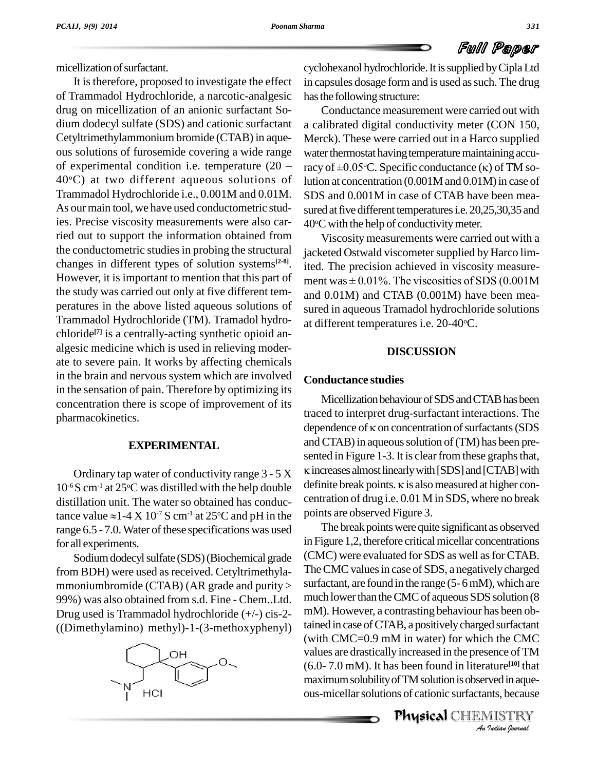micellization of surfactant.

It is therefore, proposed to investigate the effect of Trammadol Hydrochloride, a narcotic-analgesic drug on micellization of an anionic surfactant So dium dodecyl sulfate (SDS) and cationic surfactant Cetyltrimethylammonium bromide (CTAB) in aque ous solutions of furosemide covering a wide range Cetyltrimethylammonium bromide (CTAB) in aque-<br>ous solutions of furosemide covering a wide range water the<br>of experimental condition i.e. temperature  $(20 - \text{racy of})$  $40^{\circ}$ C) at two different aqueous solutions of lution Trammadol Hydrochloride i.e., 0.001M and 0.01M.<br>As our main tool, we have used conductometric studies. Precise viscosity measurements were also carried out to support the information obtained from the conductometric studies in probing the structural changes in different types of solution systems<sup>[2-8]</sup>. ite However, it is important to mention that this part of ment was  $\pm 0.01\%$ . The viscosities of SDS (0.001M) the study was carried out only at five different tem peratures in the above listed aqueous solutions of Trammadol Hydrochloride (TM). Tramadol hydro chloride **[7]** is a centrally-acting synthetic opioid an algesic medicine which is used in relieving moder ate to severe pain. It works by affecting chemicals in the brain and nervous system which are involved in the sensation of pain. Therefore by optimizing its concentration there is scope of improvement of its pharmacokinetics.

### **EXPERIMENTAL**

 $10^{-6}$ S cm<sup>-1</sup> at 25<sup>o</sup>C was distilled with the help double defini distillation unit. The water so obtained has conduc-10<sup>-6</sup>S cm<sup>-1</sup> at 25<sup>o</sup>C was distilled w<br>distillation unit. The water so ob<br>tance value  $\approx$ 1-4 X 10<sup>-7</sup> S cm<sup>-1</sup> at  $-7$  S cm<sup>-1</sup> at 25 $\degree$ C and pH in the points range 6.5 - 7.0. Water of these specifications was used for all experiments.

Sodium dodecyl sulfate (SDS) (Biochemical grade from BDH) were used as received. Cetyltrimethylammoniumbromide (CTAB) (AR grade and purity > 99%) was also obtained from s.d. Fine - Chem..Ltd. Drug used is Trammadol hydrochloride (+/-) cis-2- ((Dimethylamino) methyl)-1-(3-methoxyphenyl)



cyclohexanol hydrochloride. It is supplied by Cipla Ltd in capsules dosage form and is used as such. The drug has the following structure:

Conductance measurement were carried out with a calibrated digital conductivity meter (CON 150, Merck). These were carried out in a Harco supplied<br>water thermostat having temperature maintaining accu-<br>racy of ±0.05°C. Specific conductance (κ) of TM sowater thermostat having temperature maintaining acculution at concentration  $(0.001M)$  and  $(0.01M)$  in case of SDS and 0.001M in case of CTAB have been mea sured at five different temperatures i.e. 20,25,30,35 and  $40^{\circ}$ C with the help of conductivity meter.

Viscosity measurements were carried out with a jacketed Ostwald viscometer supplied by Harco limited. The precision achieved in viscosity measure jacketed Ostwald viscometer supplied by Harco limited. The precision achieved in viscosity measurement was  $\pm\,0.01\%$ . The viscosities of SDS (0.001M and 0.01M) and CTAB (0.001M) have been mea sured in aqueous Tramadol hydrochloride solutions at different temperatures i.e. 20-40°C.

#### **DISCUSSION**

### **Conductance studies**

Ordinary tap water of conductivity range  $3 - 5X$  K increases almost inearly with [SDS] and [CTAB] with<br>S cm<sup>-1</sup> at 25<sup>o</sup>C was distilled with the help double definite break points. K is also measured at higher con-Micellization behaviour of SDS and CTAB has been traced to interpret drug-surfactant interactions. The dependence of  $\kappa$  on concentration of surfactants (SDS and CTAB) in aqueous solution of (TM) has been pre-<br>sented in Figure 1-3. It is clear from these graphs that, increases almost linearly with [SDS] and [CTAB] with sented in Figure 1-3. It is clear from these graphs that,<br> $\kappa$  increases almost linearly with [SDS] and [CTAB] with<br>definite break points.  $\kappa$  is also measured at higher concentration of drug i.e. 0.01 M in SDS, where no break points are observed Figure 3.

> *An*values are drastically increased in the presence of TM *I*<br>**Indian** *Indian*<br>**Indian** *Indian*<br>*IISTRY*<br>*Indian Iournal* The break points were quite significant as observed in Figure 1,2, therefore critical micellar concentrations (CMC) were evaluated for SDS as well as for CTAB. The CMC values in case of SDS, a negatively charged surfactant, are found in the range  $(5-6$  mM), which are much lower than the CMC of aqueous SDS solution (8) mM). However, a contrasting behaviour has been obtained in case of CTAB, a positively charged surfactant (with CMC=0.9 mM in water) for which the CMC (6.0- 7.0 mM). It has been found in literature **[10]** that maximum solubility of TM solution is observed in aqueous-micellarsolutions of cationic surfactants, because

Physical CHEMISTRY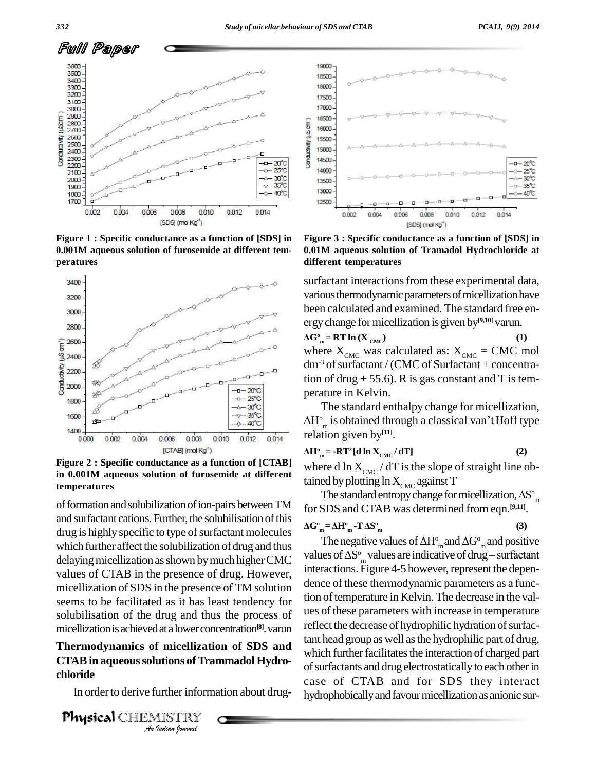

**Figure 1 : Specific conductance as a function of [SDS] in 0.001M aqueous solution of furosemide at different tem peratures**



**Figure 2 : Specific conductance as a function of [CTAB] in 0.001M aqueoussolution of furosemide at different temperatures**

and surfactant cations. Further, the solubilisation of this drug is highly specific to type of surfactant molecules which further affect the solubilization of drug and thus delaying micellization as shown by much higher CMC values of CTAB in the presence of drug. However, micellization of SDS in the presence of TM solution seems to be facilitated as it has least tendency for solubilisation of the drug and thus the process of micellization is achieved at a lower concentration<sup>[8]</sup>. varun **[8]** 

# *An***Thermodynamics of micellization of SDS and** *I* micellizat<br>**utions of Trand Control**<br>Indian spormal **CTAB** in aqueous solutions of Trammadol Hydro**chloride**

In order to derive further information about drug-

Physical CHEMISTRY



**Figure 3 : Specific conductance as a function of [SDS] in 0.01M aqueous solution of Tramadol Hydrochloride at different temperatures**

surfactant interactions from these experimental data, various thermodynamic parameters of micellization have been calculated and examined. The standard free en been calculated and exammed. The standard free en-<br>ergy change for micellization is given by<sup>[9,10]</sup> varun.

 $\Delta G<sup>o</sup><sub>m</sub> = RT ln (X<sub>CMC</sub>)$ **) (1)** where  $X_{CMC}$  was calculated as:  $X_{CMC} = CMC$  mol  $dm<sup>3</sup>$  of surfactant / (CMC of Surfactant + concentration of drug  $+ 55.6$ ). R is gas constant and T is temperature in Kelvin.

perature in Kelvin.<br>The standard enthalpy change for micellization,<br> $\Delta H^{\circ}_{\phantom{\circ}\text{m}}$  is obtained through a classical van't Hoff type  $\Delta H^{\circ}$  is obtained through a classical van't Hoff type  $\sum_{m}^{n}$  is obtained through a

$$
\Delta H^{\circ}{}_{m} = -RT^{2} [d \ln X_{CMC} / dT]
$$
 (2)

where d ln  $X_{CMC}$  / dT is the slope of straight line obtained by plotting ln  $X_{CMC}$  against T<br>The standard entropy change for micellization,  $\Delta S^{\circ}_{\infty}$ tained by plotting  $\ln X_{\text{CMC}}$  against T

The standard entropy change for micellization,  $\Delta S^{\circ}$  of formation and solubilization of ion-pairs between TM for SDS and CTAB was determined from eqn. [9,11] om for SDS and CTAB was determined from eqn.<sup>[9,11]</sup>.<br> $\Delta G^{\circ}{}_{m} = \Delta H^{\circ}{}_{m} - T \Delta S^{\circ}{}_{m}$  (3)

$$
\Delta G_{m}^{\circ} = \Delta H_{m}^{\circ} - T \Delta S_{m}^{\circ}
$$
 (3)

SDS and CTAB was determined from eqn.<sup>19,111</sup>.<br>  $_{\rm n} = \Delta H^{\rm o}_{\rm m} \cdot T \Delta S^{\rm o}_{\rm m}$  (3)<br>
The negative values of  $\Delta H^{\rm o}_{\rm m}$  and  $\Delta G^{\rm o}_{\rm m}$  and positive values of  $\Delta S^{\circ}$  values are indicative of drug – surfactant  $T \Delta S^{\circ}_{m}$  (3)<br>ative values of  $\Delta H^{\circ}_{m}$  and  $\Delta G^{\circ}_{m}$  and positive<br> $\frac{\circ}{m}$  values are indicative of drug – surfactant interactions. Figure 4-5 however, represent the dependence of these thermodynamic parameters as a function of temperature in Kelvin. The decrease in the values of these parameters with increase in temperature reflect the decrease of hydrophilic hydration of surfactant head group as well asthe hydrophilic part of drug, which further facilitates the interaction of charged part of surfactants and drug electrostatically to each other in case of CTAB and for SDS they interact hydrophobically and favour micellization as anionic sur-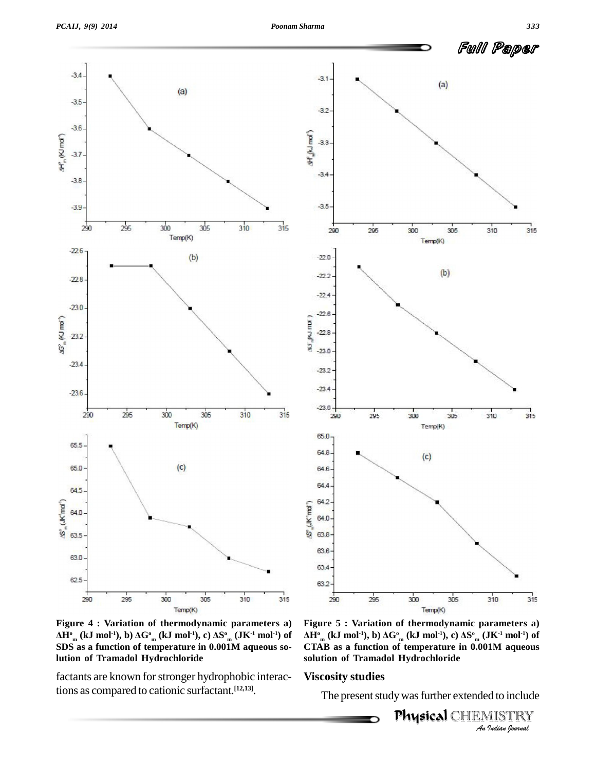Full Paper





**Figure 4 : Variation of thermodynamic parameters a)** <sup>Temp(K)</sup><br>igure 4 : Variation of thermodynamic parameters a) Fig<br>H°<sub>m</sub> (kJ mol<sup>-1</sup>), b)  $\Delta G^{\circ}$ <sub>m</sub> (kJ mol<sup>-1</sup>), c)  $\Delta S^{\circ}$ <sub>m</sub> (JK<sup>-1</sup> mol<sup>-1</sup>) of  $\Delta H^{\circ}$ **SDS asa function of temperature in 0.001M aqueous solution of Tramadol Hydrochloride**

factants are known for stronger hydrophobic interactions as compared to cationic surfactant. **[12,13]**.

*An***CTAB as a function of temperature in 0.001M aqueous** *IM aqueous<br>d to include<br><i>IISTRY*<br>*Indian Iournal* **Figure 5 : Variation of thermodynamic parameters a) Temp(K)**<br>igure 5 : Variation of thermodynamic parameters a)<br> $\mathbf{H}_{m}^{\circ}$  (kJ mol<sup>-1</sup>), b)  $\Delta\mathbf{G}_{m}^{\circ}$  (kJ mol<sup>-1</sup>), c)  $\Delta\mathbf{S}_{m}^{\circ}$  (JK<sup>-1</sup> mol<sup>-1</sup>) of **solution of Tramadol Hydrochloride**

#### **Viscosity studies**

The present study was further extended to include

,<br>**Physical** CHEMISTRY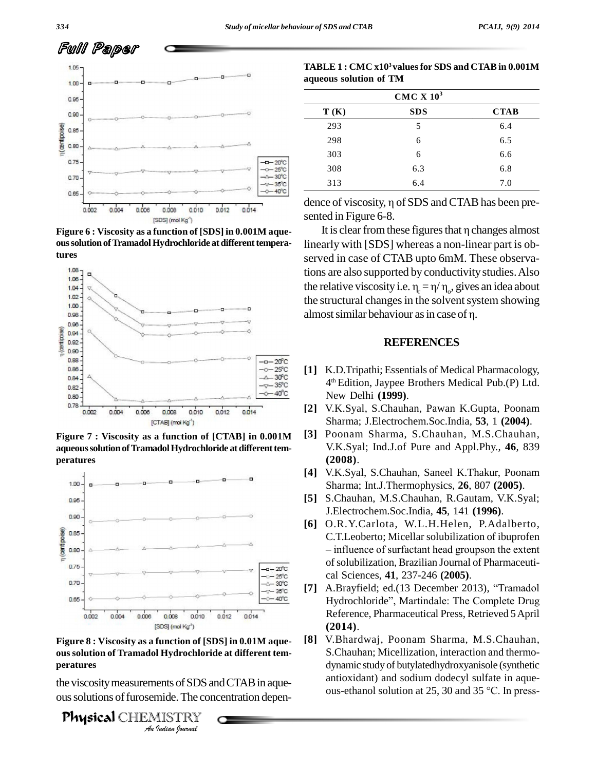

 $\alpha$  ous solution of Tramadol Hydrochloride at different tempera**tures**



**Figure 7 : Viscosity as a function of [CTAB] in 0.001M aqueoussolutionofTramadolHydrochloride atdifferenttem peratures**



*An***Figure 8 : Viscosity as a function of [SDS] in 0.01M aque-** *I*<br>*I* Hydrochlori<br>ents of SDS a<br>mide. The condita<br>*Indian Iournal* **ous solution of Tramadol Hydrochloride at different tem peratures**

the viscosity measurements of SDS and CTAB in aqueous solutions of furosemide. The concentration depen-

Physical CHEMISTRY

| TABLE 1 : CMC x10 <sup>3</sup> values for SDS and CTAB in 0.001M |
|------------------------------------------------------------------|
| aqueous solution of TM                                           |

| CMC X $103$ |            |             |  |
|-------------|------------|-------------|--|
| T(K)        | <b>SDS</b> | <b>CTAB</b> |  |
| 293         | 5          | 6.4         |  |
| 298         | 6          | 6.5         |  |
| 303         | 6          | 6.6         |  |
| 308         | 6.3        | 6.8         |  |
| 313         | 6.4        | 7.0         |  |

sented in Figure 6-8. ce of viscosity,  $\eta$  of SDS and CTAB has been pre-<br>ed in Figure 6-8.<br>It is clear from these figures that  $\eta$  changes almost

linearly with [SDS] whereas a non-linear part is ob served in case of CTAB upto 6mM. These observations are also supported by conductivitystudies.Also served in case of CTAB upto 6mM. These observa-<br>tions are also supported by conductivity studies. Also<br>the relative viscosity i.e.  $\eta_r = \eta/\eta_o$ , gives an idea about<br>the structural changes in the solvent system showing<br>almo the structural changes in the solvent system showing **Figure 6 : Viscosity as a function of [SDS] in 0.001M aque-**

#### **REFERENCES**

- **[1]** K.D.Tripathi; Essentials of Medical Pharmacology, 4 th Edition, Jaypee Brothers Medical Pub.(P) Ltd. New Delhi **(1999)**.
- **[2]** V.K.Syal, S.Chauhan, Pawan K.Gupta, Poonam Sharma; J.Electrochem.Soc.India, **53**, 1 **(2004)**.
- **[3]** Poonam Sharma, S.Chauhan, M.S.Chauhan, V.K.Syal; Ind.J.of Pure and Appl.Phy., **46**, 839 **(2008)**.
- **[4]** V.K.Syal, S.Chauhan, Saneel K.Thakur, Poonam Sharma; Int.J.Thermophysics, **26**, 807 **(2005)**.
- **[5]** S.Chauhan, M.S.Chauhan, R.Gautam, V.K.Syal; J.Electrochem.Soc.India, **45**, 141 **(1996)**.
- **[6]** O.R.Y.Carlota, W.L.H.Helen, P.Adalberto,<br>C.T.Leoberto; Micellar solubilization of ibuprofen<br>– influence of surfactant head groupson the extent C.T.Leoberto; Micellar solubilization of ibuprofen ofsolubilization, Brazilian Journal of Pharmaceuti cal Sciences, **41**, 237-246 **(2005)**. of solubilization, Brazilian Journal of Pharmaceutical Sciences, **41**, 237-246 (**2005**).<br>
[7] A.Brayfield; ed.(13 December 2013), "Tramadol
- cal Sciences, 41, 237-246 (**2005**).<br>A.Brayfield; ed.(13 December 2013), "Tramadol<br>Hydrochloride", Martindale: The Complete Drug Reference, Pharmaceutical Press, Retrieved 5April **(2014)**.
- **[8]** V.Bhardwaj, Poonam Sharma, M.S.Chauhan, S.Chauhan; Micellization, interaction and thermo dynamic study of butylatedhydroxyanisole (synthetic antioxidant) and sodium dodecyl sulfate in aque dynamic study of butylatedhydroxyanisole (synthetic antioxidant) and sodium dodecyl sulfate in aque-<br>ous-ethanol solution at 25, 30 and 35 °C. In press-